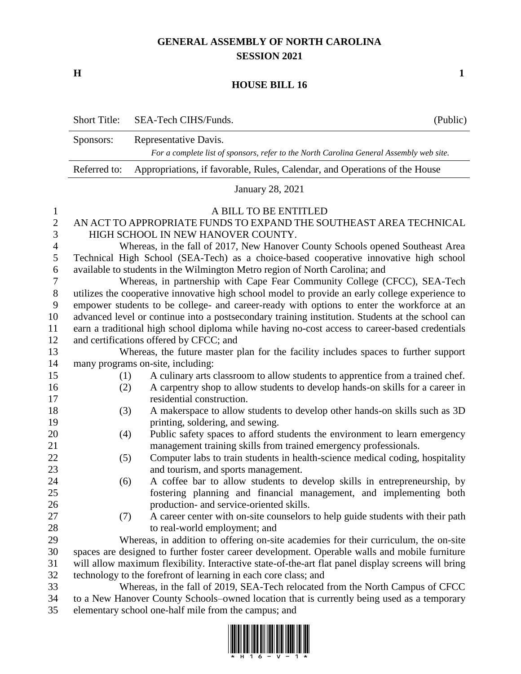## **GENERAL ASSEMBLY OF NORTH CAROLINA SESSION 2021**

**H 1**

## **HOUSE BILL 16**

|                | <b>Short Title:</b>                                                                                | SEA-Tech CIHS/Funds.                                                                 | (Public) |
|----------------|----------------------------------------------------------------------------------------------------|--------------------------------------------------------------------------------------|----------|
|                | Sponsors:                                                                                          | Representative Davis.                                                                |          |
|                | For a complete list of sponsors, refer to the North Carolina General Assembly web site.            |                                                                                      |          |
|                | Referred to:                                                                                       | Appropriations, if favorable, Rules, Calendar, and Operations of the House           |          |
|                | <b>January 28, 2021</b>                                                                            |                                                                                      |          |
| $\mathbf{1}$   | A BILL TO BE ENTITLED                                                                              |                                                                                      |          |
| $\mathbf{2}$   | AN ACT TO APPROPRIATE FUNDS TO EXPAND THE SOUTHEAST AREA TECHNICAL                                 |                                                                                      |          |
| 3              | HIGH SCHOOL IN NEW HANOVER COUNTY.                                                                 |                                                                                      |          |
| $\overline{4}$ | Whereas, in the fall of 2017, New Hanover County Schools opened Southeast Area                     |                                                                                      |          |
| 5              | Technical High School (SEA-Tech) as a choice-based cooperative innovative high school              |                                                                                      |          |
| 6              | available to students in the Wilmington Metro region of North Carolina; and                        |                                                                                      |          |
| 7              | Whereas, in partnership with Cape Fear Community College (CFCC), SEA-Tech                          |                                                                                      |          |
| $8\phantom{1}$ | utilizes the cooperative innovative high school model to provide an early college experience to    |                                                                                      |          |
| 9              | empower students to be college- and career-ready with options to enter the workforce at an         |                                                                                      |          |
| 10             | advanced level or continue into a postsecondary training institution. Students at the school can   |                                                                                      |          |
| 11             | earn a traditional high school diploma while having no-cost access to career-based credentials     |                                                                                      |          |
| 12             | and certifications offered by CFCC; and                                                            |                                                                                      |          |
| 13             | Whereas, the future master plan for the facility includes spaces to further support                |                                                                                      |          |
| 14             | many programs on-site, including:                                                                  |                                                                                      |          |
| 15             | (1)                                                                                                | A culinary arts classroom to allow students to apprentice from a trained chef.       |          |
| 16             | (2)                                                                                                | A carpentry shop to allow students to develop hands-on skills for a career in        |          |
| 17             |                                                                                                    | residential construction.                                                            |          |
| 18             | (3)                                                                                                | A makerspace to allow students to develop other hands-on skills such as 3D           |          |
| 19             |                                                                                                    | printing, soldering, and sewing.                                                     |          |
| 20             | (4)                                                                                                | Public safety spaces to afford students the environment to learn emergency           |          |
| 21             |                                                                                                    | management training skills from trained emergency professionals.                     |          |
| 22             | (5)                                                                                                | Computer labs to train students in health-science medical coding, hospitality        |          |
| 23             |                                                                                                    | and tourism, and sports management.                                                  |          |
| 24             | (6)                                                                                                | A coffee bar to allow students to develop skills in entrepreneurship, by             |          |
| 25             |                                                                                                    | fostering planning and financial management, and implementing both                   |          |
| 26             |                                                                                                    | production- and service-oriented skills.                                             |          |
| 27             | (7)                                                                                                | A career center with on-site counselors to help guide students with their path       |          |
| 28             |                                                                                                    | to real-world employment; and                                                        |          |
| 29             |                                                                                                    | Whereas, in addition to offering on-site academies for their curriculum, the on-site |          |
| 30             | spaces are designed to further foster career development. Operable walls and mobile furniture      |                                                                                      |          |
| 31             | will allow maximum flexibility. Interactive state-of-the-art flat panel display screens will bring |                                                                                      |          |
| 32             | technology to the forefront of learning in each core class; and                                    |                                                                                      |          |
| 33             | Whereas, in the fall of 2019, SEA-Tech relocated from the North Campus of CFCC                     |                                                                                      |          |
| 34             | to a New Hanover County Schools-owned location that is currently being used as a temporary         |                                                                                      |          |

elementary school one-half mile from the campus; and